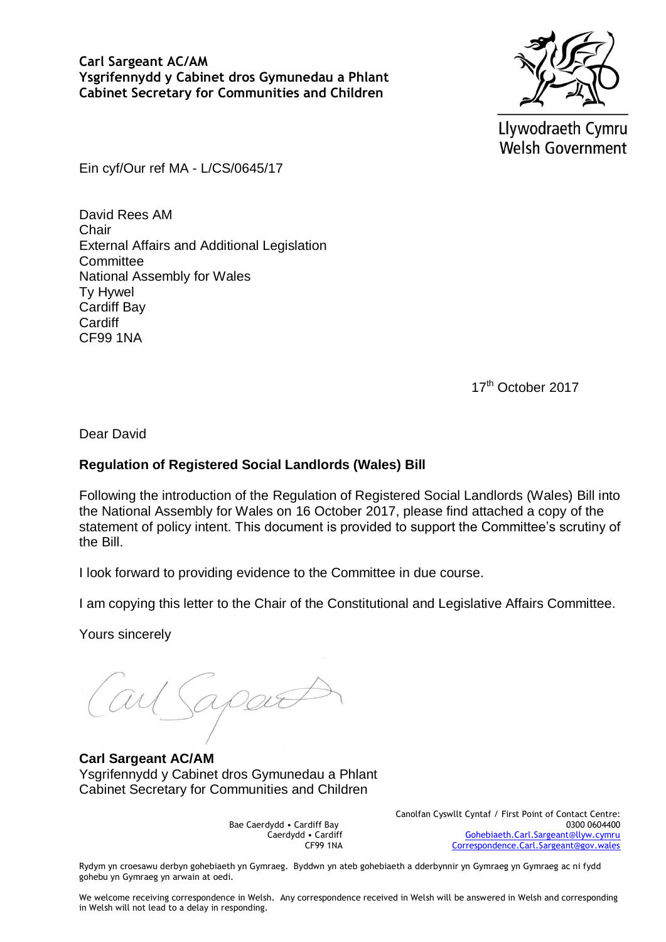

Llywodraeth Cymru **Welsh Government** 

Ein cyf/Our ref MA - L/CS/0645/17

David Rees AM Chair External Affairs and Additional Legislation **Committee** National Assembly for Wales Ty Hywel Cardiff Bay **Cardiff** CF99 1NA

17<sup>th</sup> October 2017

Dear David

## **Regulation of Registered Social Landlords (Wales) Bill**

Following the introduction of the Regulation of Registered Social Landlords (Wales) Bill into the National Assembly for Wales on 16 October 2017, please find attached a copy of the statement of policy intent. This document is provided to support the Committee's scrutiny of the Bill.

I look forward to providing evidence to the Committee in due course.

I am copying this letter to the Chair of the Constitutional and Legislative Affairs Committee.

Yours sincerely

apa

**Carl Sargeant AC/AM** Ysgrifennydd y Cabinet dros Gymunedau a Phlant Cabinet Secretary for Communities and Children

Bae Caerdydd • Cardiff Bay Caerdydd • Cardiff CF99 1NA Canolfan Cyswllt Cyntaf / First Point of Contact Centre: 0300 0604400 [Gohebiaeth.Carl.Sargeant@llyw.cymru](mailto:Gohebiaeth.Carl.Sargeant@llyw.cymru) [Correspondence.Carl.Sargeant@gov.wales](mailto:Correspondence.Carl.Sargeant@gov.wales)

Rydym yn croesawu derbyn gohebiaeth yn Gymraeg. Byddwn yn ateb gohebiaeth a dderbynnir yn Gymraeg yn Gymraeg ac ni fydd gohebu yn Gymraeg yn arwain at oedi.

We welcome receiving correspondence in Welsh. Any correspondence received in Welsh will be answered in Welsh and corresponding in Welsh will not lead to a delay in responding.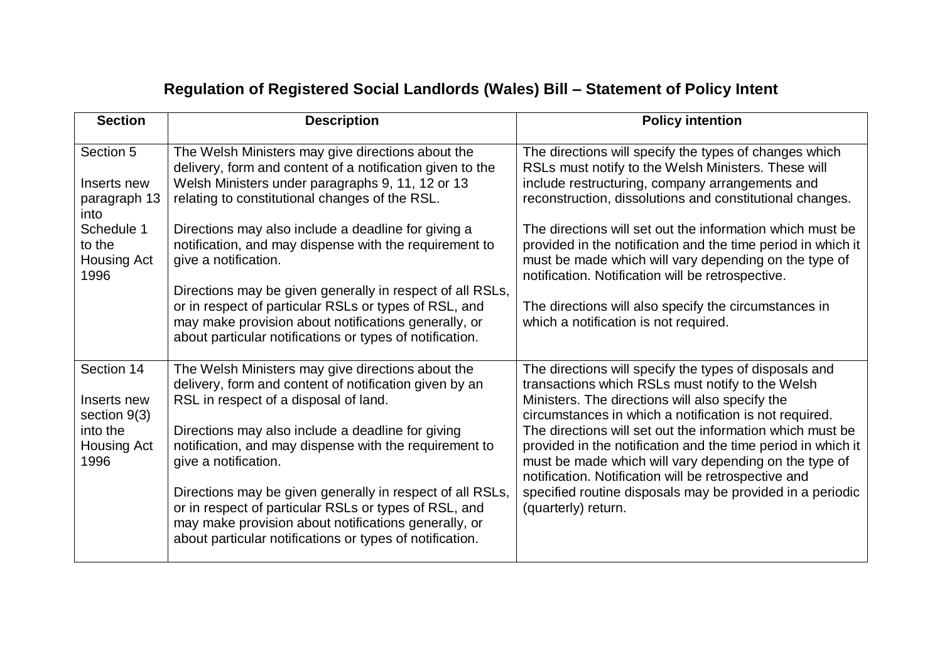## **Regulation of Registered Social Landlords (Wales) Bill – Statement of Policy Intent**

| <b>Section</b>                                   | <b>Description</b>                                                                                                                                                                                                                     | <b>Policy intention</b>                                                                                                                                                                                                                    |
|--------------------------------------------------|----------------------------------------------------------------------------------------------------------------------------------------------------------------------------------------------------------------------------------------|--------------------------------------------------------------------------------------------------------------------------------------------------------------------------------------------------------------------------------------------|
| Section 5<br>Inserts new<br>paragraph 13<br>into | The Welsh Ministers may give directions about the<br>delivery, form and content of a notification given to the<br>Welsh Ministers under paragraphs 9, 11, 12 or 13<br>relating to constitutional changes of the RSL.                   | The directions will specify the types of changes which<br>RSLs must notify to the Welsh Ministers. These will<br>include restructuring, company arrangements and<br>reconstruction, dissolutions and constitutional changes.               |
| Schedule 1<br>to the<br>Housing Act<br>1996      | Directions may also include a deadline for giving a<br>notification, and may dispense with the requirement to<br>give a notification.                                                                                                  | The directions will set out the information which must be<br>provided in the notification and the time period in which it<br>must be made which will vary depending on the type of<br>notification. Notification will be retrospective.    |
|                                                  | Directions may be given generally in respect of all RSLs,<br>or in respect of particular RSLs or types of RSL, and<br>may make provision about notifications generally, or<br>about particular notifications or types of notification. | The directions will also specify the circumstances in<br>which a notification is not required.                                                                                                                                             |
| Section 14<br>Inserts new<br>section $9(3)$      | The Welsh Ministers may give directions about the<br>delivery, form and content of notification given by an<br>RSL in respect of a disposal of land.                                                                                   | The directions will specify the types of disposals and<br>transactions which RSLs must notify to the Welsh<br>Ministers. The directions will also specify the<br>circumstances in which a notification is not required.                    |
| into the<br><b>Housing Act</b><br>1996           | Directions may also include a deadline for giving<br>notification, and may dispense with the requirement to<br>give a notification.                                                                                                    | The directions will set out the information which must be<br>provided in the notification and the time period in which it<br>must be made which will vary depending on the type of<br>notification. Notification will be retrospective and |
|                                                  | Directions may be given generally in respect of all RSLs,<br>or in respect of particular RSLs or types of RSL, and<br>may make provision about notifications generally, or<br>about particular notifications or types of notification. | specified routine disposals may be provided in a periodic<br>(quarterly) return.                                                                                                                                                           |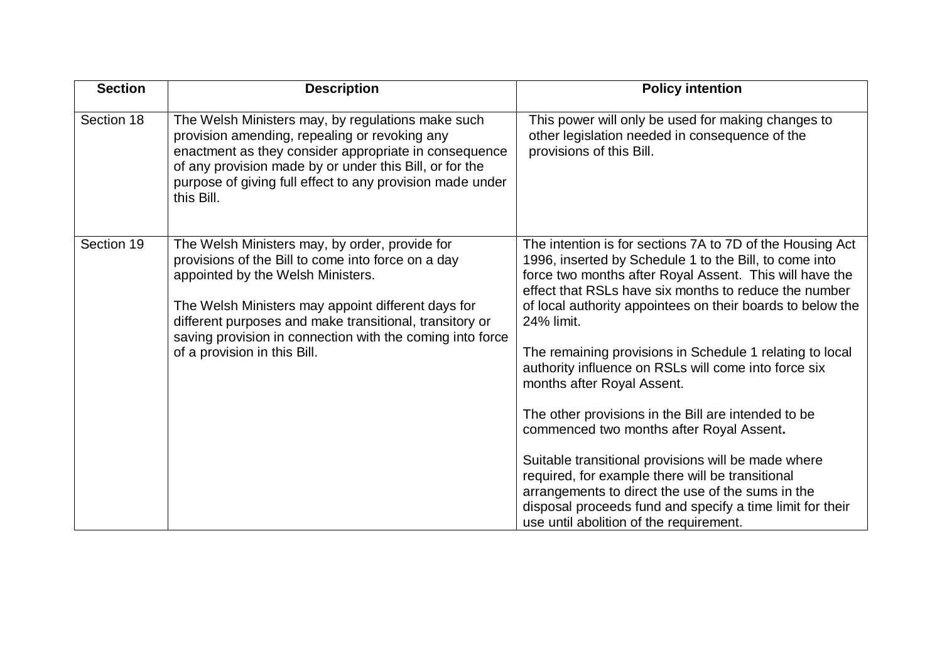| <b>Section</b> | <b>Description</b>                                                                                                                                                                                                                                                                                                                                      | <b>Policy intention</b>                                                                                                                                                                                                                                                                                             |
|----------------|---------------------------------------------------------------------------------------------------------------------------------------------------------------------------------------------------------------------------------------------------------------------------------------------------------------------------------------------------------|---------------------------------------------------------------------------------------------------------------------------------------------------------------------------------------------------------------------------------------------------------------------------------------------------------------------|
| Section 18     | The Welsh Ministers may, by regulations make such<br>provision amending, repealing or revoking any<br>enactment as they consider appropriate in consequence<br>of any provision made by or under this Bill, or for the<br>purpose of giving full effect to any provision made under<br>this Bill.                                                       | This power will only be used for making changes to<br>other legislation needed in consequence of the<br>provisions of this Bill.                                                                                                                                                                                    |
| Section 19     | The Welsh Ministers may, by order, provide for<br>provisions of the Bill to come into force on a day<br>appointed by the Welsh Ministers.<br>The Welsh Ministers may appoint different days for<br>different purposes and make transitional, transitory or<br>saving provision in connection with the coming into force<br>of a provision in this Bill. | The intention is for sections 7A to 7D of the Housing Act<br>1996, inserted by Schedule 1 to the Bill, to come into<br>force two months after Royal Assent. This will have the<br>effect that RSLs have six months to reduce the number<br>of local authority appointees on their boards to below the<br>24% limit. |
|                |                                                                                                                                                                                                                                                                                                                                                         | The remaining provisions in Schedule 1 relating to local<br>authority influence on RSLs will come into force six<br>months after Royal Assent.                                                                                                                                                                      |
|                |                                                                                                                                                                                                                                                                                                                                                         | The other provisions in the Bill are intended to be<br>commenced two months after Royal Assent.                                                                                                                                                                                                                     |
|                |                                                                                                                                                                                                                                                                                                                                                         | Suitable transitional provisions will be made where<br>required, for example there will be transitional<br>arrangements to direct the use of the sums in the<br>disposal proceeds fund and specify a time limit for their<br>use until abolition of the requirement.                                                |